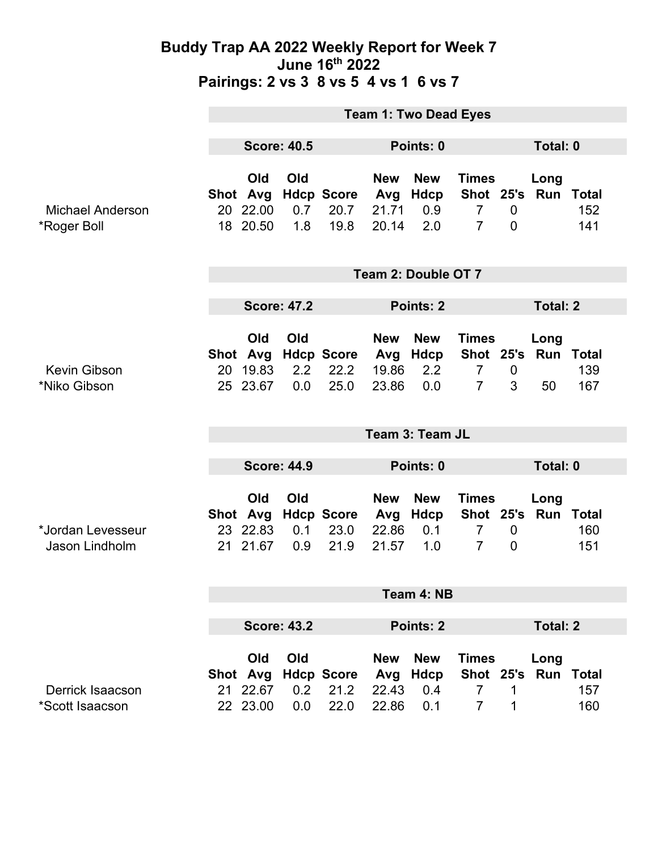|                                        | <b>Team 1: Two Dead Eyes</b> |                                         |                   |                                     |                                     |                                         |                                                                   |                                    |                                   |                            |  |
|----------------------------------------|------------------------------|-----------------------------------------|-------------------|-------------------------------------|-------------------------------------|-----------------------------------------|-------------------------------------------------------------------|------------------------------------|-----------------------------------|----------------------------|--|
|                                        | <b>Score: 40.5</b>           |                                         |                   | Points: 0                           |                                     |                                         | Total: 0                                                          |                                    |                                   |                            |  |
| <b>Michael Anderson</b><br>*Roger Boll | Shot Avg                     | Old<br>20 22.00<br>18 20.50             | Old<br>0.7<br>1.8 | <b>Hdcp Score</b><br>20.7<br>19.8   | <b>New</b><br>Avg<br>21.71<br>20.14 | <b>New</b><br><b>Hdcp</b><br>0.9<br>2.0 | <b>Times</b><br>Shot 25's Run<br>$\overline{7}$<br>$\overline{7}$ | $\mathbf 0$<br>$\mathbf 0$         | Long                              | <b>Total</b><br>152<br>141 |  |
|                                        | Team 2: Double OT 7          |                                         |                   |                                     |                                     |                                         |                                                                   |                                    |                                   |                            |  |
|                                        | <b>Score: 47.2</b>           |                                         |                   |                                     | Points: 2                           |                                         |                                                                   |                                    | <b>Total: 2</b>                   |                            |  |
| <b>Kevin Gibson</b><br>*Niko Gibson    | 20                           | Old<br>Shot Avg<br>19.83<br>25 23.67    | Old<br>2.2<br>0.0 | <b>Hdcp Score</b><br>22.2<br>25.0   | <b>New</b><br>Avg<br>19.86<br>23.86 | <b>New</b><br>Hdcp<br>2.2<br>0.0        | <b>Times</b><br>$\overline{7}$<br>$\overline{7}$                  | $\boldsymbol{0}$<br>3              | Long<br>Shot 25's Run Total<br>50 | 139<br>167                 |  |
|                                        | Team 3: Team JL              |                                         |                   |                                     |                                     |                                         |                                                                   |                                    |                                   |                            |  |
|                                        | <b>Score: 44.9</b>           |                                         |                   |                                     | Points: 0                           |                                         |                                                                   |                                    | Total: 0                          |                            |  |
| *Jordan Levesseur<br>Jason Lindholm    |                              | Old<br>23 22.83<br>21 21.67             | Old<br>0.1<br>0.9 | Shot Avg Hdcp Score<br>23.0<br>21.9 | <b>New</b><br>Avg<br>22.86<br>21.57 | <b>New</b><br><b>Hdcp</b><br>0.1<br>1.0 | <b>Times</b><br>Shot 25's<br>$\overline{7}$<br>$\overline{7}$     | $\boldsymbol{0}$<br>$\overline{0}$ | Long<br>Run                       | <b>Total</b><br>160<br>151 |  |
|                                        | Team 4: NB                   |                                         |                   |                                     |                                     |                                         |                                                                   |                                    |                                   |                            |  |
|                                        | <b>Score: 43.2</b>           |                                         |                   | <b>Points: 2</b>                    |                                     |                                         |                                                                   | <b>Total: 2</b>                    |                                   |                            |  |
| Derrick Isaacson<br>*Scott Isaacson    |                              | Old<br>Shot Avg<br>21 22.67<br>22 23.00 | Old<br>0.2<br>0.0 | <b>Hdcp Score</b><br>21.2<br>22.0   | <b>New</b><br>Avg<br>22.43<br>22.86 | <b>New</b><br><b>Hdcp</b><br>0.4<br>0.1 | <b>Times</b><br>$\overline{7}$<br>$\overline{7}$                  | 1<br>1                             | Long<br>Shot 25's Run Total       | 157<br>160                 |  |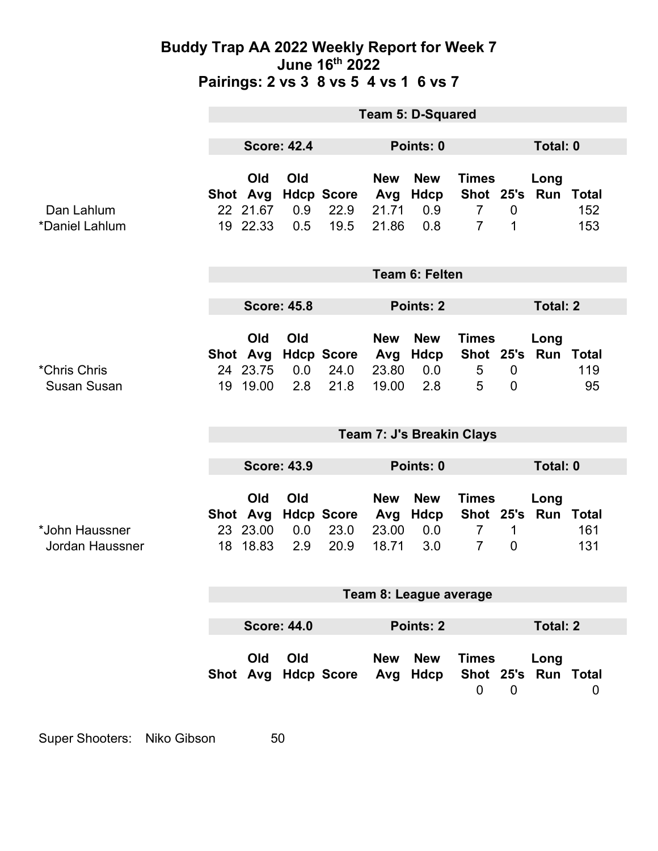|                                    | <b>Team 5: D-Squared</b>  |                                         |                   |                                   |                                     |                                  |                                                  |                                  |                             |            |  |
|------------------------------------|---------------------------|-----------------------------------------|-------------------|-----------------------------------|-------------------------------------|----------------------------------|--------------------------------------------------|----------------------------------|-----------------------------|------------|--|
|                                    | <b>Score: 42.4</b>        |                                         |                   | Points: 0                         |                                     |                                  |                                                  | Total: 0                         |                             |            |  |
| Dan Lahlum<br>*Daniel Lahlum       |                           | Old<br>Shot Avg<br>22 21.67<br>19 22.33 | Old<br>0.9<br>0.5 | <b>Hdcp Score</b><br>22.9<br>19.5 | <b>New</b><br>Avg<br>21.71<br>21.86 | <b>New</b><br>Hdcp<br>0.9<br>0.8 | <b>Times</b><br>$\overline{7}$<br>$\overline{7}$ | $\mathbf 0$<br>1                 | Long<br>Shot 25's Run Total | 152<br>153 |  |
|                                    | <b>Team 6: Felten</b>     |                                         |                   |                                   |                                     |                                  |                                                  |                                  |                             |            |  |
|                                    | <b>Score: 45.8</b>        |                                         |                   |                                   | Points: 2                           |                                  |                                                  | <b>Total: 2</b>                  |                             |            |  |
| *Chris Chris<br><b>Susan Susan</b> | 19                        | Old<br>Shot Avg<br>24 23.75<br>19.00    | Old<br>0.0<br>2.8 | <b>Hdcp Score</b><br>24.0<br>21.8 | <b>New</b><br>Avg<br>23.80<br>19.00 | <b>New</b><br>Hdcp<br>0.0<br>2.8 | <b>Times</b><br>Shot 25's<br>5<br>5              | $\overline{0}$<br>$\overline{0}$ | Long<br><b>Run Total</b>    | 119<br>95  |  |
|                                    | Team 7: J's Breakin Clays |                                         |                   |                                   |                                     |                                  |                                                  |                                  |                             |            |  |
|                                    | <b>Score: 43.9</b>        |                                         |                   |                                   | Points: 0                           |                                  |                                                  |                                  | Total: 0                    |            |  |
| *John Haussner<br>Jordan Haussner  | 18                        | Old<br>Shot Avg<br>23 23.00<br>18.83    | Old<br>0.0<br>2.9 | <b>Hdcp Score</b><br>23.0<br>20.9 | <b>New</b><br>Avg<br>23.00<br>18.71 | <b>New</b><br>Hdcp<br>0.0<br>3.0 | <b>Times</b><br>$\overline{7}$<br>$\overline{7}$ | 1<br>$\boldsymbol{0}$            | Long<br>Shot 25's Run Total | 161<br>131 |  |
|                                    | Team 8: League average    |                                         |                   |                                   |                                     |                                  |                                                  |                                  |                             |            |  |
|                                    |                           |                                         |                   |                                   |                                     |                                  |                                                  |                                  |                             |            |  |
|                                    | <b>Score: 44.0</b>        |                                         |                   |                                   | <b>Points: 2</b>                    |                                  |                                                  | <b>Total: 2</b>                  |                             |            |  |
|                                    |                           | Old                                     | Old               | Shot Avg Hdcp Score               | <b>New</b>                          | <b>New</b><br>Avg Hdcp           | <b>Times</b><br>$\mathbf 0$                      | $\mathbf 0$                      | Long<br>Shot 25's Run Total | 0          |  |

Super Shooters: Niko Gibson 50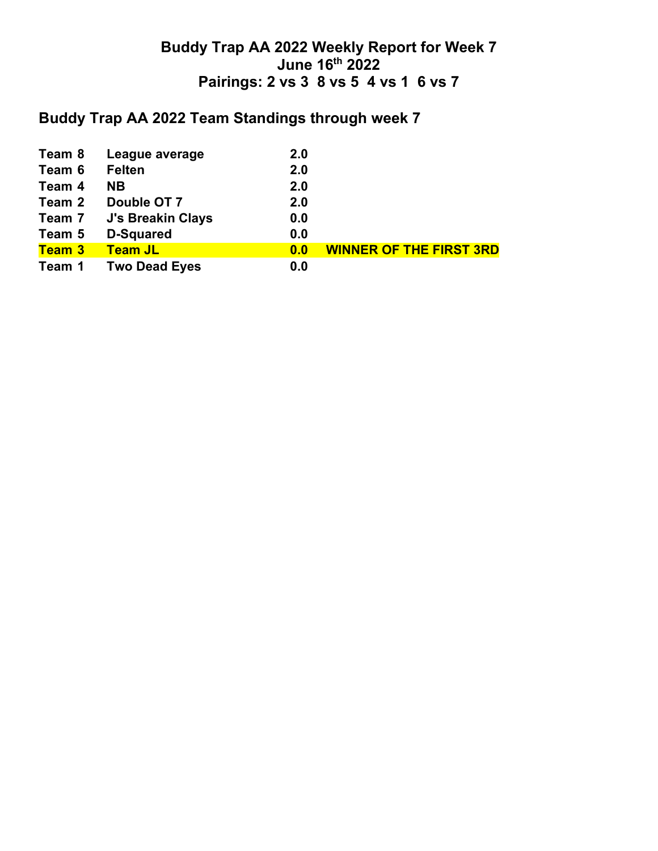# **Buddy Trap AA 2022 Team Standings through week 7**

| Team 8        | League average           | 2.0 |                                |
|---------------|--------------------------|-----|--------------------------------|
| Team 6        | <b>Felten</b>            | 2.0 |                                |
| Team 4        | <b>NB</b>                | 2.0 |                                |
| Team 2        | Double OT 7              | 2.0 |                                |
| Team 7        | <b>J's Breakin Clays</b> | 0.0 |                                |
| Team 5        | <b>D-Squared</b>         | 0.0 |                                |
| <b>Team 3</b> | <b>Team JL</b>           | 0.0 | <b>WINNER OF THE FIRST 3RD</b> |
| Team 1        | <b>Two Dead Eyes</b>     | 0.0 |                                |